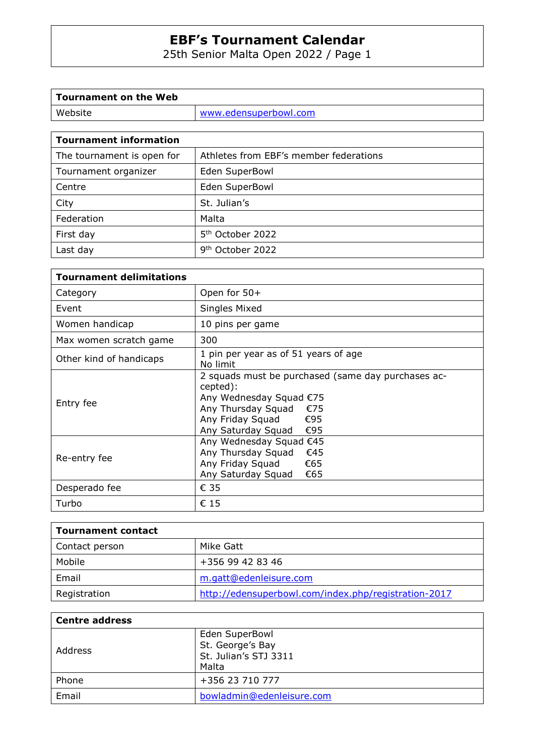25th Senior Malta Open 2022 / Page 1

| Tournament on the Web |                       |
|-----------------------|-----------------------|
| Website               | www.edensuperbowl.com |
|                       |                       |

| <b>Tournament information</b> |                                        |
|-------------------------------|----------------------------------------|
| The tournament is open for    | Athletes from EBF's member federations |
| Tournament organizer          | Eden SuperBowl                         |
| Centre                        | Eden SuperBowl                         |
| City                          | St. Julian's                           |
| Federation                    | Malta                                  |
| First day                     | 5 <sup>th</sup> October 2022           |
| Last day                      | 9 <sup>th</sup> October 2022           |
|                               |                                        |

| <b>Tournament delimitations</b> |                                                                                                                                                                                |  |  |  |  |  |
|---------------------------------|--------------------------------------------------------------------------------------------------------------------------------------------------------------------------------|--|--|--|--|--|
| Category                        | Open for 50+                                                                                                                                                                   |  |  |  |  |  |
| Event                           | Singles Mixed                                                                                                                                                                  |  |  |  |  |  |
| Women handicap                  | 10 pins per game                                                                                                                                                               |  |  |  |  |  |
| Max women scratch game          | 300                                                                                                                                                                            |  |  |  |  |  |
| Other kind of handicaps         | 1 pin per year as of 51 years of age<br>No limit                                                                                                                               |  |  |  |  |  |
| Entry fee                       | 2 squads must be purchased (same day purchases ac-<br>cepted):<br>Any Wednesday Squad €75<br>Any Thursday Squad<br>€75<br>Any Friday Squad<br>€95<br>Any Saturday Squad<br>€95 |  |  |  |  |  |
| Re-entry fee                    | Any Wednesday Squad €45<br>Any Thursday Squad<br>€45<br>Any Friday Squad<br>€65<br>Any Saturday Squad<br>€65                                                                   |  |  |  |  |  |
| Desperado fee                   | € 35                                                                                                                                                                           |  |  |  |  |  |
| Turbo                           | € 15                                                                                                                                                                           |  |  |  |  |  |

| <b>Tournament contact</b> |                                                      |
|---------------------------|------------------------------------------------------|
| Contact person            | Mike Gatt                                            |
| Mobile                    | +356 99 42 83 46                                     |
| Email                     | m.gatt@edenleisure.com                               |
| Registration              | http://edensuperbowl.com/index.php/registration-2017 |

| <b>Centre address</b> |                                                                      |  |  |  |  |  |
|-----------------------|----------------------------------------------------------------------|--|--|--|--|--|
| Address               | Eden SuperBowl<br>St. George's Bay<br>St. Julian's STJ 3311<br>Malta |  |  |  |  |  |
| Phone                 | +356 23 710 777                                                      |  |  |  |  |  |
| Email                 | bowladmin@edenleisure.com                                            |  |  |  |  |  |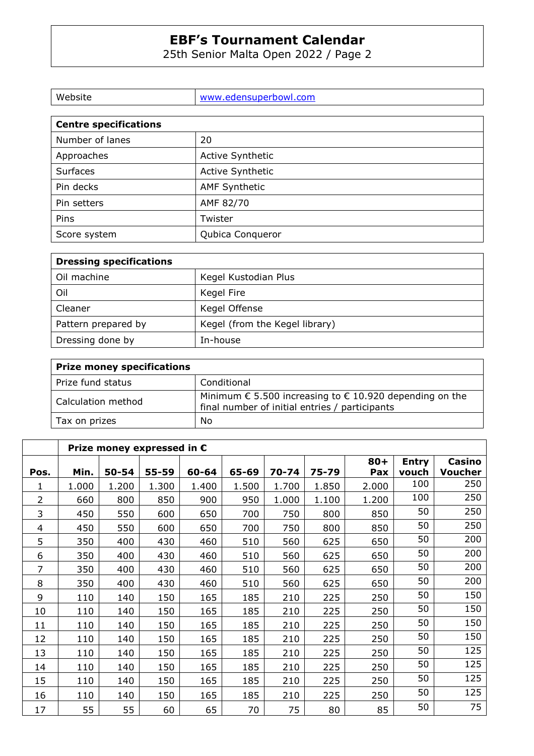25th Senior Malta Open 2022 / Page 2

| Website                      | www.edensuperbowl.com   |  |  |  |
|------------------------------|-------------------------|--|--|--|
|                              |                         |  |  |  |
| <b>Centre specifications</b> |                         |  |  |  |
| Number of lanes              | 20                      |  |  |  |
| Approaches                   | <b>Active Synthetic</b> |  |  |  |

| Surfaces     | <b>Active Synthetic</b> |
|--------------|-------------------------|
| Pin decks    | <b>AMF Synthetic</b>    |
| Pin setters  | AMF 82/70               |
| Pins         | Twister                 |
| Score system | Qubica Conqueror        |

| <b>Dressing specifications</b> |                                |  |  |  |  |  |
|--------------------------------|--------------------------------|--|--|--|--|--|
| Oil machine                    | Kegel Kustodian Plus           |  |  |  |  |  |
| Oil                            | Kegel Fire                     |  |  |  |  |  |
| Cleaner                        | Kegel Offense                  |  |  |  |  |  |
| Pattern prepared by            | Kegel (from the Kegel library) |  |  |  |  |  |
| Dressing done by               | In-house                       |  |  |  |  |  |

| <b>Prize money specifications</b> |                                                                                                                             |  |  |  |  |  |
|-----------------------------------|-----------------------------------------------------------------------------------------------------------------------------|--|--|--|--|--|
| Prize fund status                 | Conditional                                                                                                                 |  |  |  |  |  |
| Calculation method                | Minimum $\epsilon$ 5.500 increasing to $\epsilon$ 10.920 depending on the<br>final number of initial entries / participants |  |  |  |  |  |
| Tax on prizes                     | No                                                                                                                          |  |  |  |  |  |

|                | Prize money expressed in $\epsilon$ |       |       |       |       |           |       |        |              |                |
|----------------|-------------------------------------|-------|-------|-------|-------|-----------|-------|--------|--------------|----------------|
|                |                                     |       |       |       |       |           |       | $80 +$ | <b>Entry</b> | <b>Casino</b>  |
| Pos.           | Min.                                | 50-54 | 55-59 | 60-64 | 65-69 | $70 - 74$ | 75-79 | Pax    | vouch        | <b>Voucher</b> |
| 1              | 1.000                               | 1.200 | 1.300 | 1.400 | 1.500 | 1.700     | 1.850 | 2.000  | 100          | 250            |
| $\overline{2}$ | 660                                 | 800   | 850   | 900   | 950   | 1.000     | 1.100 | 1.200  | 100          | 250            |
| 3              | 450                                 | 550   | 600   | 650   | 700   | 750       | 800   | 850    | 50           | 250            |
| 4              | 450                                 | 550   | 600   | 650   | 700   | 750       | 800   | 850    | 50           | 250            |
| 5              | 350                                 | 400   | 430   | 460   | 510   | 560       | 625   | 650    | 50           | 200            |
| 6              | 350                                 | 400   | 430   | 460   | 510   | 560       | 625   | 650    | 50           | 200            |
| $\overline{7}$ | 350                                 | 400   | 430   | 460   | 510   | 560       | 625   | 650    | 50           | 200            |
| 8              | 350                                 | 400   | 430   | 460   | 510   | 560       | 625   | 650    | 50           | 200            |
| 9              | 110                                 | 140   | 150   | 165   | 185   | 210       | 225   | 250    | 50           | 150            |
| 10             | 110                                 | 140   | 150   | 165   | 185   | 210       | 225   | 250    | 50           | 150            |
| 11             | 110                                 | 140   | 150   | 165   | 185   | 210       | 225   | 250    | 50           | 150            |
| 12             | 110                                 | 140   | 150   | 165   | 185   | 210       | 225   | 250    | 50           | 150            |
| 13             | 110                                 | 140   | 150   | 165   | 185   | 210       | 225   | 250    | 50           | 125            |
| 14             | 110                                 | 140   | 150   | 165   | 185   | 210       | 225   | 250    | 50           | 125            |
| 15             | 110                                 | 140   | 150   | 165   | 185   | 210       | 225   | 250    | 50           | 125            |
| 16             | 110                                 | 140   | 150   | 165   | 185   | 210       | 225   | 250    | 50           | 125            |
| 17             | 55                                  | 55    | 60    | 65    | 70    | 75        | 80    | 85     | 50           | 75             |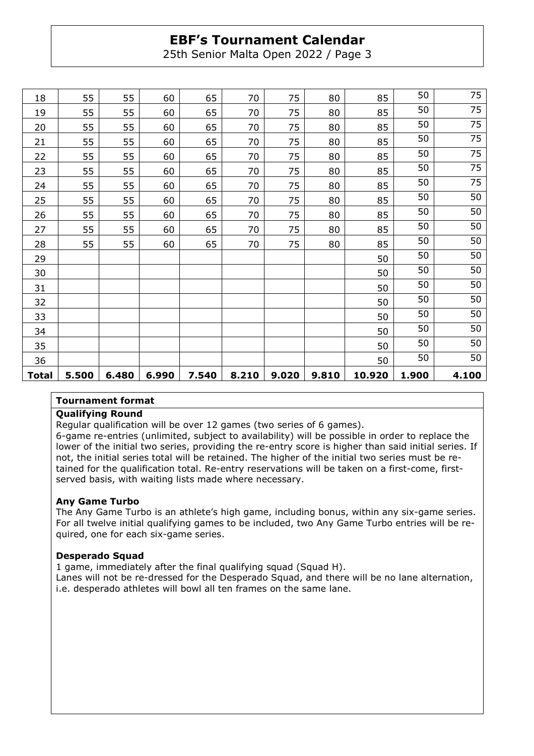25th Senior Malta Open 2022 / Page 3

| 18           | 55    | 55    | 60    | 65    | 70    | 75    | 80    | 85     | 50    | 75    |
|--------------|-------|-------|-------|-------|-------|-------|-------|--------|-------|-------|
| 19           | 55    | 55    | 60    | 65    | 70    | 75    | 80    | 85     | 50    | 75    |
| 20           | 55    | 55    | 60    | 65    | 70    | 75    | 80    | 85     | 50    | 75    |
| 21           | 55    | 55    | 60    | 65    | 70    | 75    | 80    | 85     | 50    | 75    |
| 22           | 55    | 55    | 60    | 65    | 70    | 75    | 80    | 85     | 50    | 75    |
| 23           | 55    | 55    | 60    | 65    | 70    | 75    | 80    | 85     | 50    | 75    |
| 24           | 55    | 55    | 60    | 65    | 70    | 75    | 80    | 85     | 50    | 75    |
| 25           | 55    | 55    | 60    | 65    | 70    | 75    | 80    | 85     | 50    | 50    |
| 26           | 55    | 55    | 60    | 65    | 70    | 75    | 80    | 85     | 50    | 50    |
| 27           | 55    | 55    | 60    | 65    | 70    | 75    | 80    | 85     | 50    | 50    |
| 28           | 55    | 55    | 60    | 65    | 70    | 75    | 80    | 85     | 50    | 50    |
| 29           |       |       |       |       |       |       |       | 50     | 50    | 50    |
| 30           |       |       |       |       |       |       |       | 50     | 50    | 50    |
| 31           |       |       |       |       |       |       |       | 50     | 50    | 50    |
| 32           |       |       |       |       |       |       |       | 50     | 50    | 50    |
| 33           |       |       |       |       |       |       |       | 50     | 50    | 50    |
| 34           |       |       |       |       |       |       |       | 50     | 50    | 50    |
| 35           |       |       |       |       |       |       |       | 50     | 50    | 50    |
| 36           |       |       |       |       |       |       |       | 50     | 50    | 50    |
| <b>Total</b> | 5.500 | 6.480 | 6.990 | 7.540 | 8.210 | 9.020 | 9.810 | 10.920 | 1.900 | 4.100 |

#### **Tournament format**

#### **Qualifying Round**

Regular qualification will be over 12 games (two series of 6 games).

6-game re-entries (unlimited, subject to availability) will be possible in order to replace the lower of the initial two series, providing the re-entry score is higher than said initial series. If not, the initial series total will be retained. The higher of the initial two series must be retained for the qualification total. Re-entry reservations will be taken on a first-come, firstserved basis, with waiting lists made where necessary.

#### **Any Game Turbo**

The Any Game Turbo is an athlete's high game, including bonus, within any six-game series. For all twelve initial qualifying games to be included, two Any Game Turbo entries will be required, one for each six-game series.

#### **Desperado Squad**

1 game, immediately after the final qualifying squad (Squad H). Lanes will not be re-dressed for the Desperado Squad, and there will be no lane alternation, i.e. desperado athletes will bowl all ten frames on the same lane.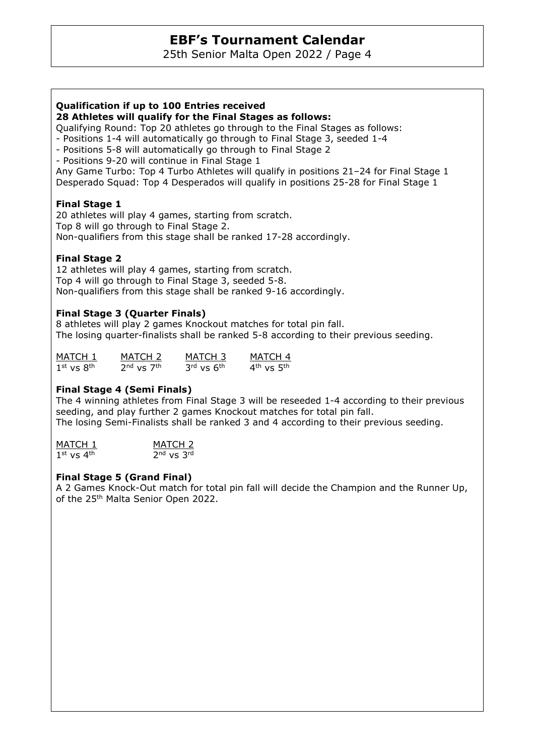25th Senior Malta Open 2022 / Page 4

### **Qualification if up to 100 Entries received**

**28 Athletes will qualify for the Final Stages as follows:** 

Qualifying Round: Top 20 athletes go through to the Final Stages as follows:

- Positions 1-4 will automatically go through to Final Stage 3, seeded 1-4
- Positions 5-8 will automatically go through to Final Stage 2

- Positions 9-20 will continue in Final Stage 1

Any Game Turbo: Top 4 Turbo Athletes will qualify in positions 21–24 for Final Stage 1 Desperado Squad: Top 4 Desperados will qualify in positions 25-28 for Final Stage 1

### **Final Stage 1**

20 athletes will play 4 games, starting from scratch. Top 8 will go through to Final Stage 2. Non-qualifiers from this stage shall be ranked 17-28 accordingly.

## **Final Stage 2**

12 athletes will play 4 games, starting from scratch. Top 4 will go through to Final Stage 3, seeded 5-8. Non-qualifiers from this stage shall be ranked 9-16 accordingly.

### **Final Stage 3 (Quarter Finals)**

8 athletes will play 2 games Knockout matches for total pin fall. The losing quarter-finalists shall be ranked 5-8 according to their previous seeding.

| MATCH 1        | MATCH 2        | MATCH 3        | MATCH 4                            |
|----------------|----------------|----------------|------------------------------------|
| $1st$ vs $8th$ | $2nd$ vs $7th$ | $3rd$ vs $6th$ | $4^{\text{th}}$ vs $5^{\text{th}}$ |

### **Final Stage 4 (Semi Finals)**

The 4 winning athletes from Final Stage 3 will be reseeded 1-4 according to their previous seeding, and play further 2 games Knockout matches for total pin fall. The losing Semi-Finalists shall be ranked 3 and 4 according to their previous seeding.

MATCH 1 MATCH 2  $1<sup>st</sup>$  vs  $4<sup>th</sup>$  $2<sup>nd</sup>$  vs  $3<sup>rd</sup>$ 

### **Final Stage 5 (Grand Final)**

A 2 Games Knock-Out match for total pin fall will decide the Champion and the Runner Up, of the 25<sup>th</sup> Malta Senior Open 2022.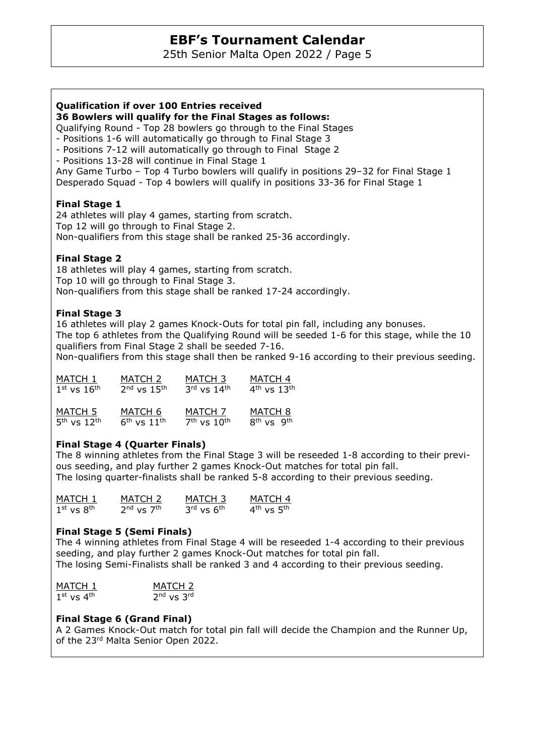25th Senior Malta Open 2022 / Page 5

#### **Qualification if over 100 Entries received**

**36 Bowlers will qualify for the Final Stages as follows:** 

Qualifying Round - Top 28 bowlers go through to the Final Stages

- Positions 1-6 will automatically go through to Final Stage 3

- Positions 7-12 will automatically go through to Final Stage 2

- Positions 13-28 will continue in Final Stage 1

Any Game Turbo – Top 4 Turbo bowlers will qualify in positions 29–32 for Final Stage 1 Desperado Squad - Top 4 bowlers will qualify in positions 33-36 for Final Stage 1

#### **Final Stage 1**

24 athletes will play 4 games, starting from scratch. Top 12 will go through to Final Stage 2. Non-qualifiers from this stage shall be ranked 25-36 accordingly.

### **Final Stage 2**

18 athletes will play 4 games, starting from scratch. Top 10 will go through to Final Stage 3. Non-qualifiers from this stage shall be ranked 17-24 accordingly.

#### **Final Stage 3**

16 athletes will play 2 games Knock-Outs for total pin fall, including any bonuses. The top 6 athletes from the Qualifying Round will be seeded 1-6 for this stage, while the 10 qualifiers from Final Stage 2 shall be seeded 7-16. Non-qualifiers from this stage shall then be ranked 9-16 according to their previous seeding.

| MATCH 1         | MATCH 2         | MATCH 3         | MATCH 4            |
|-----------------|-----------------|-----------------|--------------------|
| $1st$ vs $16th$ | $2nd$ vs $15th$ | $3rd$ vs $14th$ | $4th$ vs $13th$    |
| MATCH 5         | MATCH 6         | MATCH 7         | MATCH <sub>8</sub> |
| $5th$ vs $12th$ | $6th$ vs $11th$ | $7th$ vs $10th$ | $8th$ vs $9th$     |

### **Final Stage 4 (Quarter Finals)**

The 8 winning athletes from the Final Stage 3 will be reseeded 1-8 according to their previous seeding, and play further 2 games Knock-Out matches for total pin fall. The losing quarter-finalists shall be ranked 5-8 according to their previous seeding.

| MATCH 1        | MATCH 2        | MATCH 3        | MATCH 4        |
|----------------|----------------|----------------|----------------|
| $1st$ vs $8th$ | $2nd$ vs $7th$ | $3rd$ vs $6th$ | $4th$ vs $5th$ |

#### **Final Stage 5 (Semi Finals)**

The 4 winning athletes from Final Stage 4 will be reseeded 1-4 according to their previous seeding, and play further 2 games Knock-Out matches for total pin fall. The losing Semi-Finalists shall be ranked 3 and 4 according to their previous seeding.

| MATCH 1        | MATCH <sub>2</sub> |
|----------------|--------------------|
| $1st$ vs $4th$ | $2nd$ vs $3rd$     |

### **Final Stage 6 (Grand Final)**

A 2 Games Knock-Out match for total pin fall will decide the Champion and the Runner Up, of the 23rd Malta Senior Open 2022.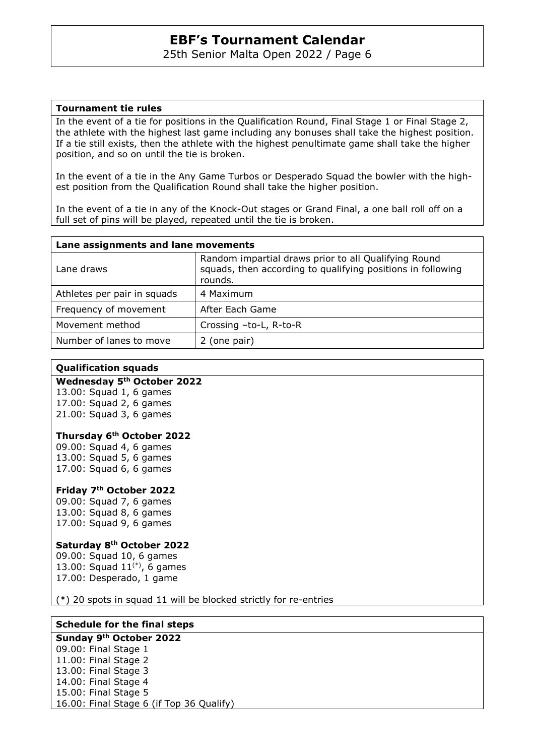25th Senior Malta Open 2022 / Page 6

#### **Tournament tie rules**

In the event of a tie for positions in the Qualification Round, Final Stage 1 or Final Stage 2, the athlete with the highest last game including any bonuses shall take the highest position. If a tie still exists, then the athlete with the highest penultimate game shall take the higher position, and so on until the tie is broken.

In the event of a tie in the Any Game Turbos or Desperado Squad the bowler with the highest position from the Qualification Round shall take the higher position.

In the event of a tie in any of the Knock-Out stages or Grand Final, a one ball roll off on a full set of pins will be played, repeated until the tie is broken.

| Lane assignments and lane movements |                                                                                                                                |  |  |
|-------------------------------------|--------------------------------------------------------------------------------------------------------------------------------|--|--|
| Lane draws                          | Random impartial draws prior to all Qualifying Round<br>squads, then according to qualifying positions in following<br>rounds. |  |  |
| Athletes per pair in squads         | 4 Maximum                                                                                                                      |  |  |
| Frequency of movement               | After Each Game                                                                                                                |  |  |
| Movement method                     | Crossing -to-L, R-to-R                                                                                                         |  |  |
| Number of lanes to move             | 2 (one pair)                                                                                                                   |  |  |

#### **Qualification squads**

### **Wednesday 5th October 2022**

13.00: Squad 1, 6 games 17.00: Squad 2, 6 games 21.00: Squad 3, 6 games

#### **Thursday 6th October 2022**

09.00: Squad 4, 6 games 13.00: Squad 5, 6 games 17.00: Squad 6, 6 games

#### **Friday 7th October 2022**

09.00: Squad 7, 6 games 13.00: Squad 8, 6 games 17.00: Squad 9, 6 games

#### **Saturday 8th October 2022**

09.00: Squad 10, 6 games 13.00: Squad  $11^{(*)}$ , 6 games 17.00: Desperado, 1 game

(\*) 20 spots in squad 11 will be blocked strictly for re-entries

## **Schedule for the final steps**

**Sunday 9th October 2022**  09.00: Final Stage 1 11.00: Final Stage 2 13.00: Final Stage 3 14.00: Final Stage 4 15.00: Final Stage 5 16.00: Final Stage 6 (if Top 36 Qualify)